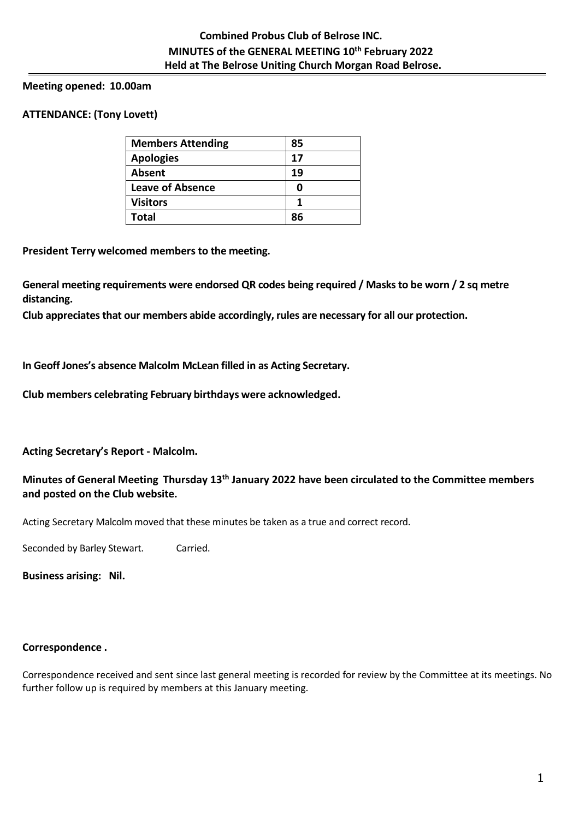# **Meeting opened: 10.00am**

# **ATTENDANCE: (Tony Lovett)**

| <b>Members Attending</b> | 85 |  |
|--------------------------|----|--|
| <b>Apologies</b>         | 17 |  |
| Absent                   | 19 |  |
| Leave of Absence         | 0  |  |
| <b>Visitors</b>          | 1  |  |
| <b>Total</b>             | ጸና |  |

**President Terry welcomed members to the meeting.** 

**General meeting requirements were endorsed QR codes being required / Masks to be worn / 2 sq metre distancing.** 

**Club appreciates that our members abide accordingly, rules are necessary for all our protection.**

**In Geoff Jones's absence Malcolm McLean filled in as Acting Secretary.**

**Club members celebrating February birthdays were acknowledged.**

**Acting Secretary's Report - Malcolm.**

# **Minutes of General Meeting Thursday 13 th January 2022 have been circulated to the Committee members and posted on the Club website.**

Acting Secretary Malcolm moved that these minutes be taken as a true and correct record.

Seconded by Barley Stewart. Carried.

**Business arising: Nil.**

# **Correspondence .**

Correspondence received and sent since last general meeting is recorded for review by the Committee at its meetings. No further follow up is required by members at this January meeting.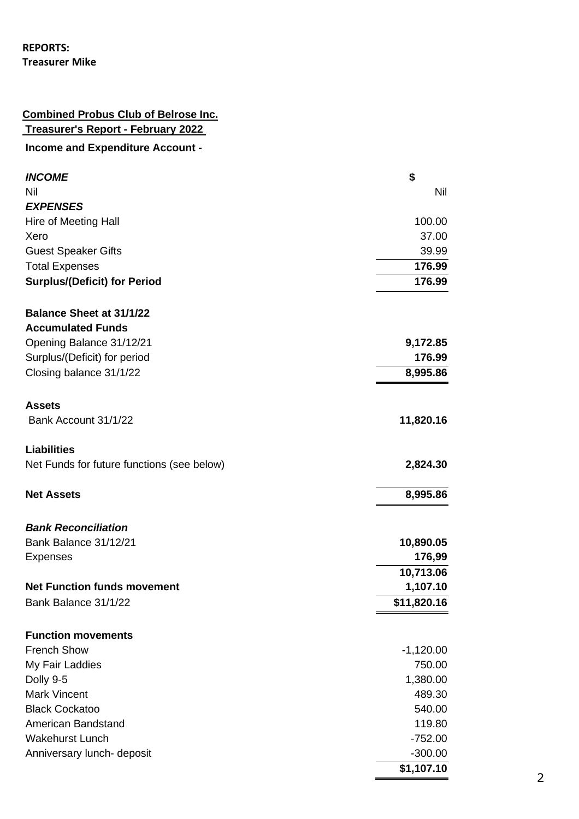# **REPORTS: Treasurer Mike**

# **Combined Probus Club of Belrose Inc. Treasurer's Report - February 2022**

# **Income and Expenditure Account -**

| <b>INCOME</b>                              | \$          |
|--------------------------------------------|-------------|
| Nil                                        | <b>Nil</b>  |
| <b>EXPENSES</b>                            |             |
| Hire of Meeting Hall                       | 100.00      |
| Xero                                       | 37.00       |
| <b>Guest Speaker Gifts</b>                 | 39.99       |
| <b>Total Expenses</b>                      | 176.99      |
| <b>Surplus/(Deficit) for Period</b>        | 176.99      |
| <b>Balance Sheet at 31/1/22</b>            |             |
| <b>Accumulated Funds</b>                   |             |
| Opening Balance 31/12/21                   | 9,172.85    |
| Surplus/(Deficit) for period               | 176.99      |
| Closing balance 31/1/22                    | 8,995.86    |
| <b>Assets</b>                              |             |
| Bank Account 31/1/22                       | 11,820.16   |
| <b>Liabilities</b>                         |             |
| Net Funds for future functions (see below) | 2,824.30    |
| <b>Net Assets</b>                          | 8,995.86    |
| <b>Bank Reconciliation</b>                 |             |
| Bank Balance 31/12/21                      | 10,890.05   |
| <b>Expenses</b>                            | 176,99      |
|                                            | 10,713.06   |
| <b>Net Function funds movement</b>         | 1,107.10    |
| Bank Balance 31/1/22                       | \$11,820.16 |
| <b>Function movements</b>                  |             |
| <b>French Show</b>                         | $-1,120.00$ |
| My Fair Laddies                            | 750.00      |
| Dolly 9-5                                  | 1,380.00    |
| <b>Mark Vincent</b>                        | 489.30      |
| <b>Black Cockatoo</b>                      | 540.00      |
| American Bandstand                         | 119.80      |
| <b>Wakehurst Lunch</b>                     | $-752.00$   |
| Anniversary lunch- deposit                 | $-300.00$   |
|                                            | \$1,107.10  |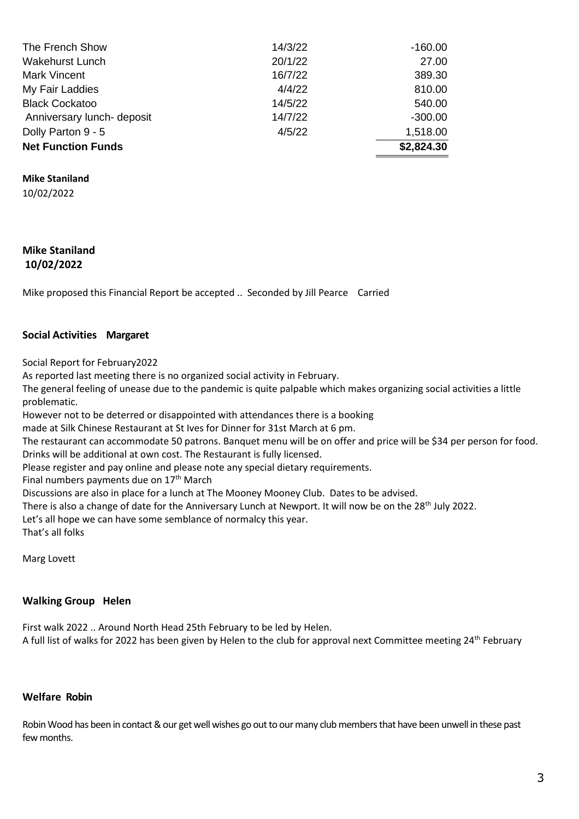| The French Show            | 14/3/22 | $-160.00$  |
|----------------------------|---------|------------|
| <b>Wakehurst Lunch</b>     | 20/1/22 | 27.00      |
| <b>Mark Vincent</b>        | 16/7/22 | 389.30     |
| My Fair Laddies            | 4/4/22  | 810.00     |
| <b>Black Cockatoo</b>      | 14/5/22 | 540.00     |
| Anniversary lunch- deposit | 14/7/22 | $-300.00$  |
| Dolly Parton 9 - 5         | 4/5/22  | 1,518.00   |
| <b>Net Function Funds</b>  |         | \$2,824.30 |

**Mike Staniland**

10/02/2022

#### **Mike Staniland 10/02/2022**

Mike proposed this Financial Report be accepted .. Seconded by Jill Pearce Carried

#### **Social Activities Margaret**

Social Report for February2022

As reported last meeting there is no organized social activity in February.

The general feeling of unease due to the pandemic is quite palpable which makes organizing social activities a little problematic.

However not to be deterred or disappointed with attendances there is a booking

made at Silk Chinese Restaurant at St Ives for Dinner for 31st March at 6 pm.

The restaurant can accommodate 50 patrons. Banquet menu will be on offer and price will be \$34 per person for food. Drinks will be additional at own cost. The Restaurant is fully licensed.

Please register and pay online and please note any special dietary requirements.

Final numbers payments due on  $17<sup>th</sup>$  March

Discussions are also in place for a lunch at The Mooney Mooney Club. Dates to be advised.

There is also a change of date for the Anniversary Lunch at Newport. It will now be on the 28<sup>th</sup> July 2022.

Let's all hope we can have some semblance of normalcy this year.

That's all folks

Marg Lovett

#### **Walking Group Helen**

First walk 2022 .. Around North Head 25th February to be led by Helen. A full list of walks for 2022 has been given by Helen to the club for approval next Committee meeting 24<sup>th</sup> February

### **Welfare Robin**

Robin Wood has been in contact & our get well wishes go out to our many club members that have been unwell in these past few months.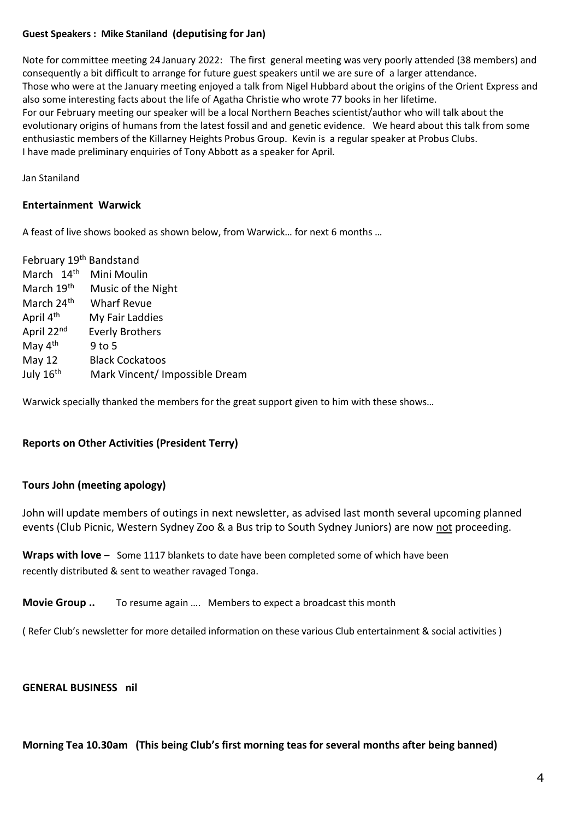# **Guest Speakers : Mike Staniland (deputising for Jan)**

Note for committee meeting 24 January 2022: The first general meeting was very poorly attended (38 members) and consequently a bit difficult to arrange for future guest speakers until we are sure of a larger attendance. Those who were at the January meeting enjoyed a talk from Nigel Hubbard about the origins of the Orient Express and also some interesting facts about the life of Agatha Christie who wrote 77 books in her lifetime. For our February meeting our speaker will be a local Northern Beaches scientist/author who will talk about the evolutionary origins of humans from the latest fossil and and genetic evidence. We heard about this talk from some enthusiastic members of the Killarney Heights Probus Group. Kevin is a regular speaker at Probus Clubs. I have made preliminary enquiries of Tony Abbott as a speaker for April.

Jan Staniland

# **Entertainment Warwick**

A feast of live shows booked as shown below, from Warwick… for next 6 months …

| February 19th Bandstand |                                |
|-------------------------|--------------------------------|
| March 14th              | Mini Moulin                    |
| March 19th              | Music of the Night             |
| March 24 <sup>th</sup>  | <b>Wharf Revue</b>             |
| April 4 <sup>th</sup>   | My Fair Laddies                |
| April 22nd              | <b>Everly Brothers</b>         |
| May $4th$               | $9$ to 5                       |
| <b>May 12</b>           | <b>Black Cockatoos</b>         |
| July 16 <sup>th</sup>   | Mark Vincent/ Impossible Dream |

Warwick specially thanked the members for the great support given to him with these shows…

# **Reports on Other Activities (President Terry)**

# **Tours John (meeting apology)**

John will update members of outings in next newsletter, as advised last month several upcoming planned events (Club Picnic, Western Sydney Zoo & a Bus trip to South Sydney Juniors) are now not proceeding.

**Wraps with love** – Some 1117 blankets to date have been completed some of which have been recently distributed & sent to weather ravaged Tonga.

**Movie Group ..** To resume again …. Members to expect a broadcast this month

( Refer Club's newsletter for more detailed information on these various Club entertainment & social activities )

#### **GENERAL BUSINESS nil**